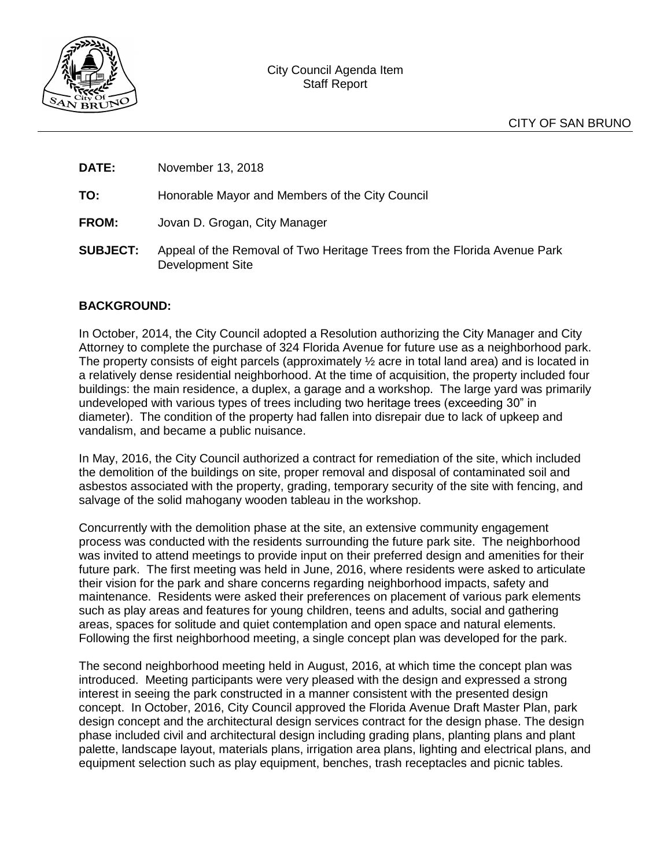

**DATE:** November 13, 2018

**TO:** Honorable Mayor and Members of the City Council

- **FROM:** Jovan D. Grogan, City Manager
- **SUBJECT:** Appeal of the Removal of Two Heritage Trees from the Florida Avenue Park Development Site

### **BACKGROUND:**

In October, 2014, the City Council adopted a Resolution authorizing the City Manager and City Attorney to complete the purchase of 324 Florida Avenue for future use as a neighborhood park. The property consists of eight parcels (approximately ½ acre in total land area) and is located in a relatively dense residential neighborhood. At the time of acquisition, the property included four buildings: the main residence, a duplex, a garage and a workshop. The large yard was primarily undeveloped with various types of trees including two heritage trees (exceeding 30" in diameter). The condition of the property had fallen into disrepair due to lack of upkeep and vandalism, and became a public nuisance.

In May, 2016, the City Council authorized a contract for remediation of the site, which included the demolition of the buildings on site, proper removal and disposal of contaminated soil and asbestos associated with the property, grading, temporary security of the site with fencing, and salvage of the solid mahogany wooden tableau in the workshop.

Concurrently with the demolition phase at the site, an extensive community engagement process was conducted with the residents surrounding the future park site. The neighborhood was invited to attend meetings to provide input on their preferred design and amenities for their future park. The first meeting was held in June, 2016, where residents were asked to articulate their vision for the park and share concerns regarding neighborhood impacts, safety and maintenance. Residents were asked their preferences on placement of various park elements such as play areas and features for young children, teens and adults, social and gathering areas, spaces for solitude and quiet contemplation and open space and natural elements. Following the first neighborhood meeting, a single concept plan was developed for the park.

The second neighborhood meeting held in August, 2016, at which time the concept plan was introduced. Meeting participants were very pleased with the design and expressed a strong interest in seeing the park constructed in a manner consistent with the presented design concept. In October, 2016, City Council approved the Florida Avenue Draft Master Plan, park design concept and the architectural design services contract for the design phase. The design phase included civil and architectural design including grading plans, planting plans and plant palette, landscape layout, materials plans, irrigation area plans, lighting and electrical plans, and equipment selection such as play equipment, benches, trash receptacles and picnic tables.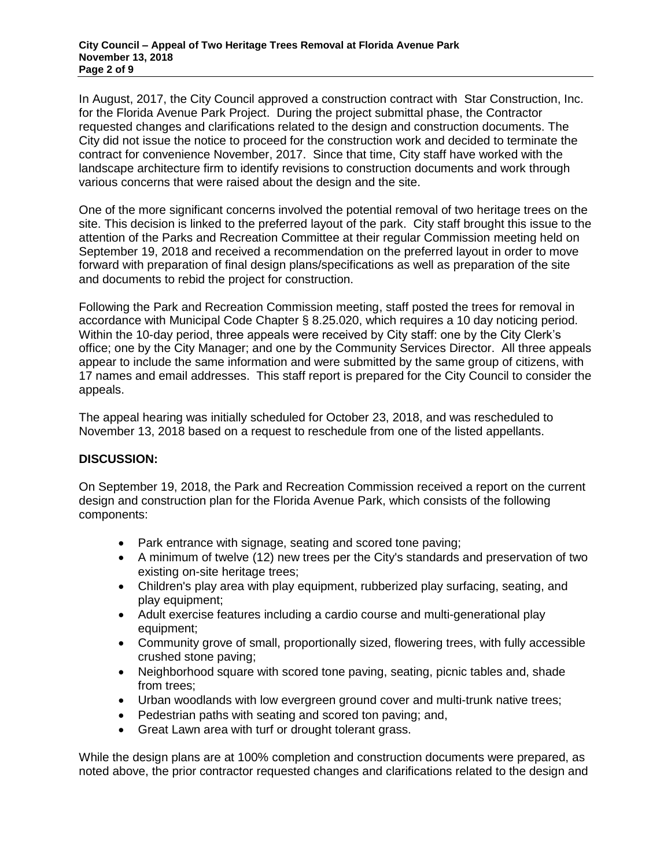In August, 2017, the City Council approved a construction contract with Star Construction, Inc. for the Florida Avenue Park Project. During the project submittal phase, the Contractor requested changes and clarifications related to the design and construction documents. The City did not issue the notice to proceed for the construction work and decided to terminate the contract for convenience November, 2017. Since that time, City staff have worked with the landscape architecture firm to identify revisions to construction documents and work through various concerns that were raised about the design and the site.

One of the more significant concerns involved the potential removal of two heritage trees on the site. This decision is linked to the preferred layout of the park. City staff brought this issue to the attention of the Parks and Recreation Committee at their regular Commission meeting held on September 19, 2018 and received a recommendation on the preferred layout in order to move forward with preparation of final design plans/specifications as well as preparation of the site and documents to rebid the project for construction.

Following the Park and Recreation Commission meeting, staff posted the trees for removal in accordance with Municipal Code Chapter § 8.25.020, which requires a 10 day noticing period. Within the 10-day period, three appeals were received by City staff: one by the City Clerk's office; one by the City Manager; and one by the Community Services Director. All three appeals appear to include the same information and were submitted by the same group of citizens, with 17 names and email addresses. This staff report is prepared for the City Council to consider the appeals.

The appeal hearing was initially scheduled for October 23, 2018, and was rescheduled to November 13, 2018 based on a request to reschedule from one of the listed appellants.

### **DISCUSSION:**

On September 19, 2018, the Park and Recreation Commission received a report on the current design and construction plan for the Florida Avenue Park, which consists of the following components:

- Park entrance with signage, seating and scored tone paving;
- A minimum of twelve (12) new trees per the City's standards and preservation of two existing on-site heritage trees;
- Children's play area with play equipment, rubberized play surfacing, seating, and play equipment;
- Adult exercise features including a cardio course and multi-generational play equipment;
- Community grove of small, proportionally sized, flowering trees, with fully accessible crushed stone paving;
- Neighborhood square with scored tone paving, seating, picnic tables and, shade from trees;
- Urban woodlands with low evergreen ground cover and multi-trunk native trees;
- Pedestrian paths with seating and scored ton paving; and,
- Great Lawn area with turf or drought tolerant grass.

While the design plans are at 100% completion and construction documents were prepared, as noted above, the prior contractor requested changes and clarifications related to the design and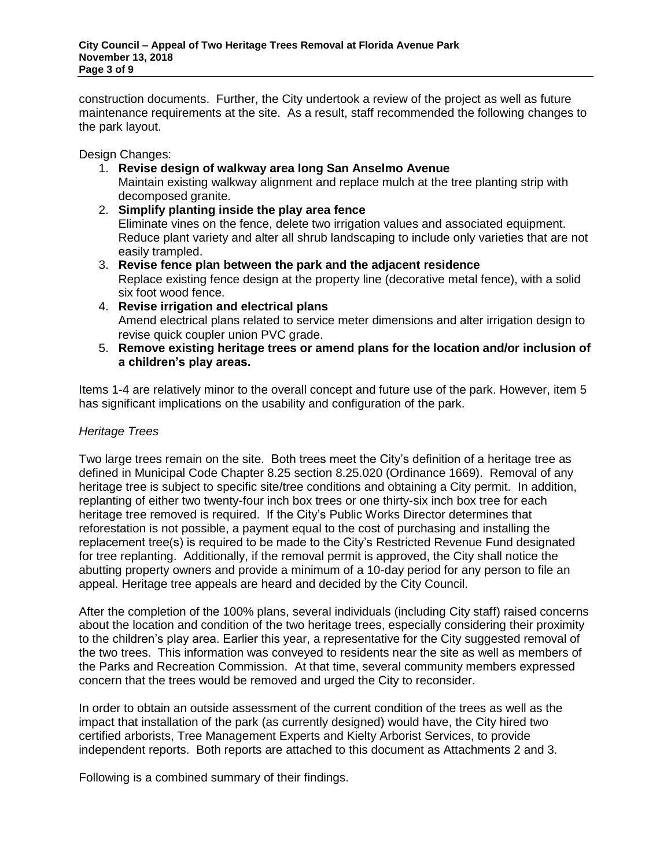construction documents. Further, the City undertook a review of the project as well as future maintenance requirements at the site. As a result, staff recommended the following changes to the park layout.

Design Changes:

- 1. **Revise design of walkway area long San Anselmo Avenue** Maintain existing walkway alignment and replace mulch at the tree planting strip with decomposed granite.
- 2. **Simplify planting inside the play area fence** Eliminate vines on the fence, delete two irrigation values and associated equipment. Reduce plant variety and alter all shrub landscaping to include only varieties that are not easily trampled.
- 3. **Revise fence plan between the park and the adjacent residence** Replace existing fence design at the property line (decorative metal fence), with a solid six foot wood fence.
- 4. **Revise irrigation and electrical plans** Amend electrical plans related to service meter dimensions and alter irrigation design to revise quick coupler union PVC grade.
- 5. **Remove existing heritage trees or amend plans for the location and/or inclusion of a children's play areas.**

Items 1-4 are relatively minor to the overall concept and future use of the park. However, item 5 has significant implications on the usability and configuration of the park.

# *Heritage Trees*

Two large trees remain on the site. Both trees meet the City's definition of a heritage tree as defined in Municipal Code Chapter 8.25 section 8.25.020 (Ordinance 1669). Removal of any heritage tree is subject to specific site/tree conditions and obtaining a City permit. In addition, replanting of either two twenty-four inch box trees or one thirty-six inch box tree for each heritage tree removed is required. If the City's Public Works Director determines that reforestation is not possible, a payment equal to the cost of purchasing and installing the replacement tree(s) is required to be made to the City's Restricted Revenue Fund designated for tree replanting. Additionally, if the removal permit is approved, the City shall notice the abutting property owners and provide a minimum of a 10-day period for any person to file an appeal. Heritage tree appeals are heard and decided by the City Council.

After the completion of the 100% plans, several individuals (including City staff) raised concerns about the location and condition of the two heritage trees, especially considering their proximity to the children's play area. Earlier this year, a representative for the City suggested removal of the two trees. This information was conveyed to residents near the site as well as members of the Parks and Recreation Commission. At that time, several community members expressed concern that the trees would be removed and urged the City to reconsider.

In order to obtain an outside assessment of the current condition of the trees as well as the impact that installation of the park (as currently designed) would have, the City hired two certified arborists, Tree Management Experts and Kielty Arborist Services, to provide independent reports. Both reports are attached to this document as Attachments 2 and 3.

Following is a combined summary of their findings.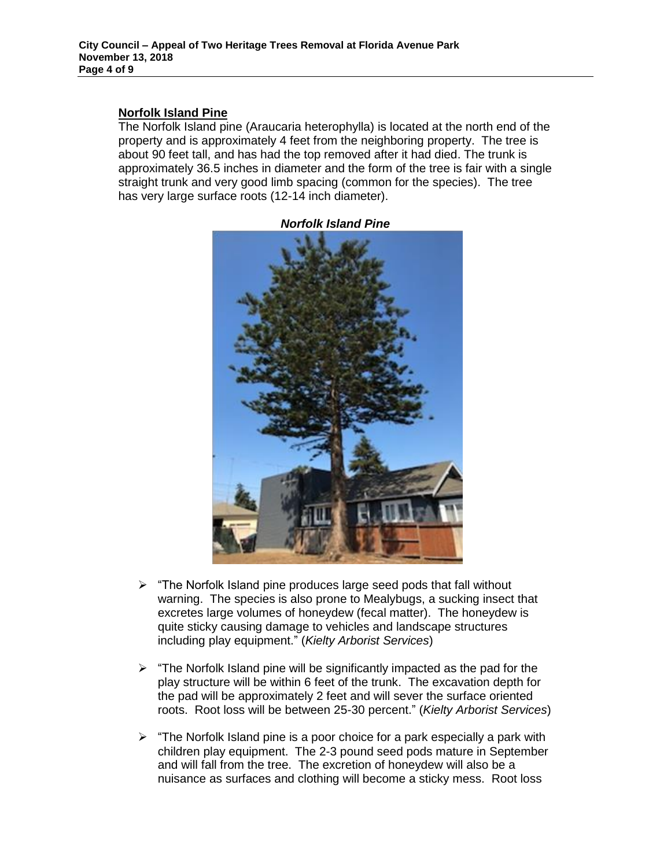#### **Norfolk Island Pine**

The Norfolk Island pine (Araucaria heterophylla) is located at the north end of the property and is approximately 4 feet from the neighboring property. The tree is about 90 feet tall, and has had the top removed after it had died. The trunk is approximately 36.5 inches in diameter and the form of the tree is fair with a single straight trunk and very good limb spacing (common for the species). The tree has very large surface roots (12-14 inch diameter).



*Norfolk Island Pine*

- $\triangleright$  "The Norfolk Island pine produces large seed pods that fall without warning. The species is also prone to Mealybugs, a sucking insect that excretes large volumes of honeydew (fecal matter). The honeydew is quite sticky causing damage to vehicles and landscape structures including play equipment." (*Kielty Arborist Services*)
- $\triangleright$  "The Norfolk Island pine will be significantly impacted as the pad for the play structure will be within 6 feet of the trunk. The excavation depth for the pad will be approximately 2 feet and will sever the surface oriented roots. Root loss will be between 25-30 percent." (*Kielty Arborist Services*)
- $\triangleright$  "The Norfolk Island pine is a poor choice for a park especially a park with children play equipment. The 2-3 pound seed pods mature in September and will fall from the tree. The excretion of honeydew will also be a nuisance as surfaces and clothing will become a sticky mess. Root loss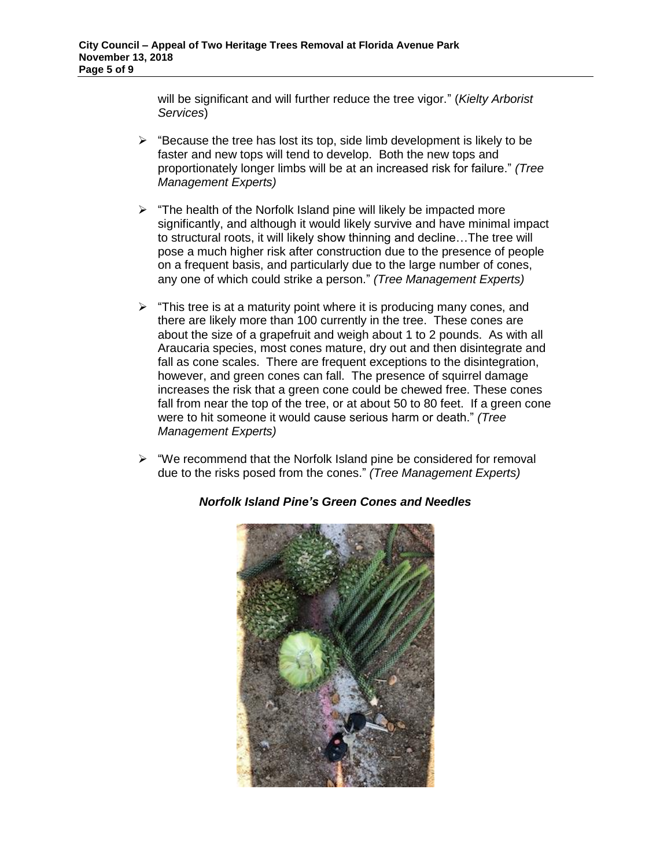will be significant and will further reduce the tree vigor." (*Kielty Arborist Services*)

- $\triangleright$  "Because the tree has lost its top, side limb development is likely to be faster and new tops will tend to develop. Both the new tops and proportionately longer limbs will be at an increased risk for failure." *(Tree Management Experts)*
- $\triangleright$  "The health of the Norfolk Island pine will likely be impacted more significantly, and although it would likely survive and have minimal impact to structural roots, it will likely show thinning and decline…The tree will pose a much higher risk after construction due to the presence of people on a frequent basis, and particularly due to the large number of cones, any one of which could strike a person." *(Tree Management Experts)*
- $\triangleright$  "This tree is at a maturity point where it is producing many cones, and there are likely more than 100 currently in the tree. These cones are about the size of a grapefruit and weigh about 1 to 2 pounds. As with all Araucaria species, most cones mature, dry out and then disintegrate and fall as cone scales. There are frequent exceptions to the disintegration, however, and green cones can fall. The presence of squirrel damage increases the risk that a green cone could be chewed free. These cones fall from near the top of the tree, or at about 50 to 80 feet. If a green cone were to hit someone it would cause serious harm or death." *(Tree Management Experts)*
- $\triangleright$  "We recommend that the Norfolk Island pine be considered for removal due to the risks posed from the cones." *(Tree Management Experts)*



### *Norfolk Island Pine's Green Cones and Needles*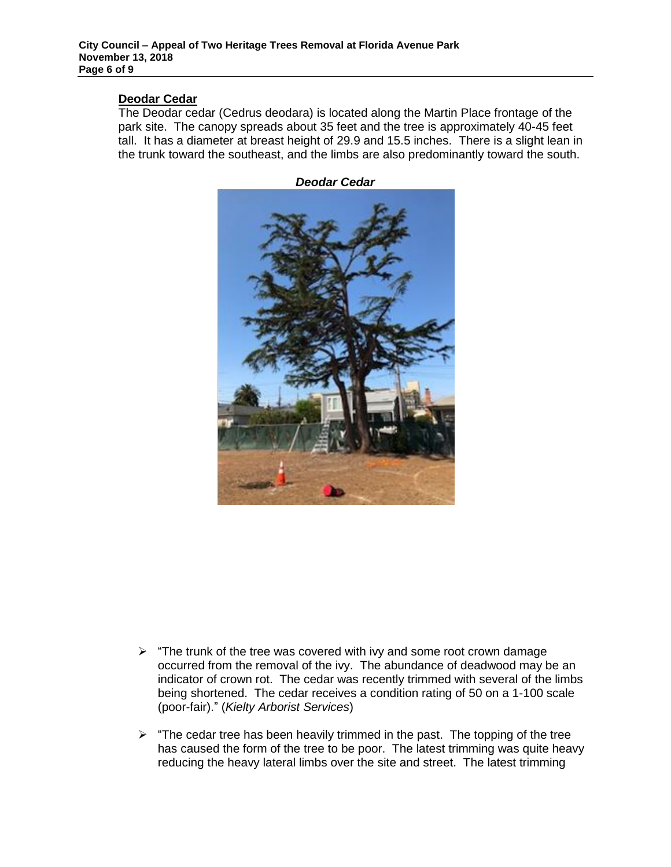#### **Deodar Cedar**

The Deodar cedar (Cedrus deodara) is located along the Martin Place frontage of the park site. The canopy spreads about 35 feet and the tree is approximately 40-45 feet tall. It has a diameter at breast height of 29.9 and 15.5 inches. There is a slight lean in the trunk toward the southeast, and the limbs are also predominantly toward the south.



*Deodar Cedar*

- $\triangleright$  "The trunk of the tree was covered with ivy and some root crown damage occurred from the removal of the ivy. The abundance of deadwood may be an indicator of crown rot. The cedar was recently trimmed with several of the limbs being shortened. The cedar receives a condition rating of 50 on a 1-100 scale (poor-fair)." (*Kielty Arborist Services*)
- $\triangleright$  "The cedar tree has been heavily trimmed in the past. The topping of the tree has caused the form of the tree to be poor. The latest trimming was quite heavy reducing the heavy lateral limbs over the site and street. The latest trimming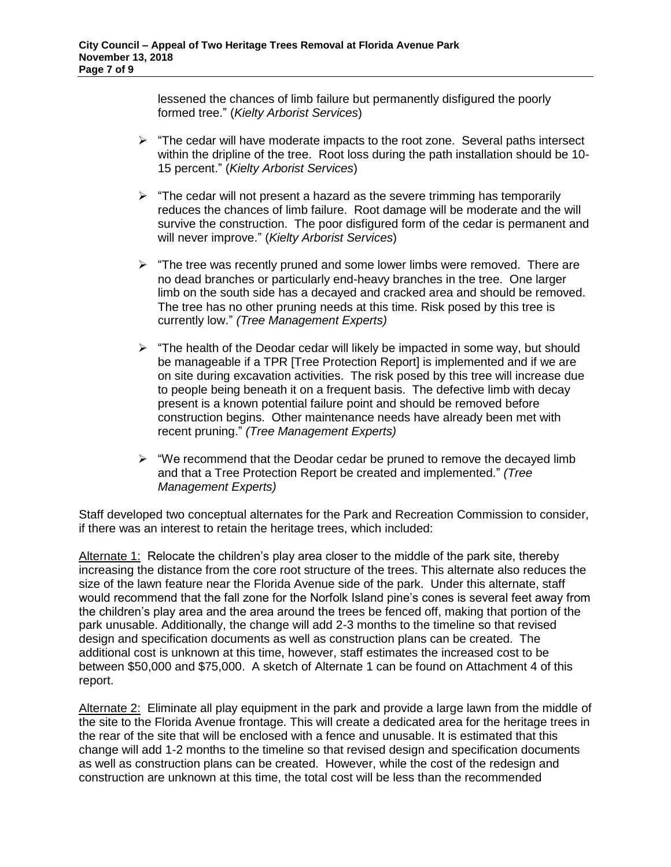lessened the chances of limb failure but permanently disfigured the poorly formed tree." (*Kielty Arborist Services*)

- $\triangleright$  "The cedar will have moderate impacts to the root zone. Several paths intersect within the dripline of the tree. Root loss during the path installation should be 10- 15 percent." (*Kielty Arborist Services*)
- $\triangleright$  "The cedar will not present a hazard as the severe trimming has temporarily reduces the chances of limb failure. Root damage will be moderate and the will survive the construction. The poor disfigured form of the cedar is permanent and will never improve." (*Kielty Arborist Services*)
- $\triangleright$  "The tree was recently pruned and some lower limbs were removed. There are no dead branches or particularly end-heavy branches in the tree. One larger limb on the south side has a decayed and cracked area and should be removed. The tree has no other pruning needs at this time. Risk posed by this tree is currently low." *(Tree Management Experts)*
- $\triangleright$  "The health of the Deodar cedar will likely be impacted in some way, but should be manageable if a TPR [Tree Protection Report] is implemented and if we are on site during excavation activities. The risk posed by this tree will increase due to people being beneath it on a frequent basis. The defective limb with decay present is a known potential failure point and should be removed before construction begins. Other maintenance needs have already been met with recent pruning." *(Tree Management Experts)*
- $\triangleright$  "We recommend that the Deodar cedar be pruned to remove the decayed limb and that a Tree Protection Report be created and implemented." *(Tree Management Experts)*

Staff developed two conceptual alternates for the Park and Recreation Commission to consider, if there was an interest to retain the heritage trees, which included:

Alternate 1: Relocate the children's play area closer to the middle of the park site, thereby increasing the distance from the core root structure of the trees. This alternate also reduces the size of the lawn feature near the Florida Avenue side of the park. Under this alternate, staff would recommend that the fall zone for the Norfolk Island pine's cones is several feet away from the children's play area and the area around the trees be fenced off, making that portion of the park unusable. Additionally, the change will add 2-3 months to the timeline so that revised design and specification documents as well as construction plans can be created. The additional cost is unknown at this time, however, staff estimates the increased cost to be between \$50,000 and \$75,000. A sketch of Alternate 1 can be found on Attachment 4 of this report.

Alternate 2: Eliminate all play equipment in the park and provide a large lawn from the middle of the site to the Florida Avenue frontage. This will create a dedicated area for the heritage trees in the rear of the site that will be enclosed with a fence and unusable. It is estimated that this change will add 1-2 months to the timeline so that revised design and specification documents as well as construction plans can be created. However, while the cost of the redesign and construction are unknown at this time, the total cost will be less than the recommended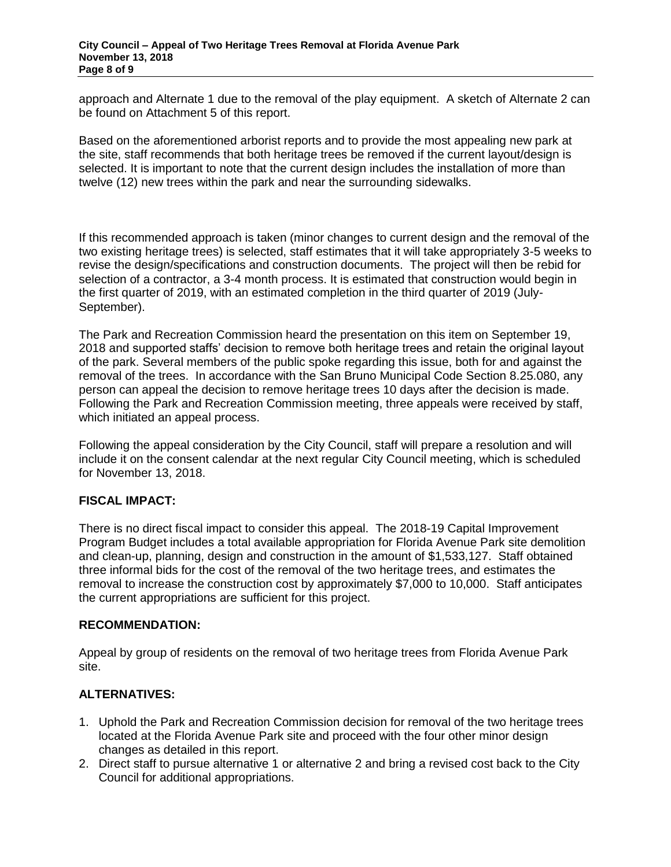approach and Alternate 1 due to the removal of the play equipment. A sketch of Alternate 2 can be found on Attachment 5 of this report.

Based on the aforementioned arborist reports and to provide the most appealing new park at the site, staff recommends that both heritage trees be removed if the current layout/design is selected. It is important to note that the current design includes the installation of more than twelve (12) new trees within the park and near the surrounding sidewalks.

If this recommended approach is taken (minor changes to current design and the removal of the two existing heritage trees) is selected, staff estimates that it will take appropriately 3-5 weeks to revise the design/specifications and construction documents. The project will then be rebid for selection of a contractor, a 3-4 month process. It is estimated that construction would begin in the first quarter of 2019, with an estimated completion in the third quarter of 2019 (July-September).

The Park and Recreation Commission heard the presentation on this item on September 19, 2018 and supported staffs' decision to remove both heritage trees and retain the original layout of the park. Several members of the public spoke regarding this issue, both for and against the removal of the trees. In accordance with the San Bruno Municipal Code Section 8.25.080, any person can appeal the decision to remove heritage trees 10 days after the decision is made. Following the Park and Recreation Commission meeting, three appeals were received by staff, which initiated an appeal process.

Following the appeal consideration by the City Council, staff will prepare a resolution and will include it on the consent calendar at the next regular City Council meeting, which is scheduled for November 13, 2018.

### **FISCAL IMPACT:**

There is no direct fiscal impact to consider this appeal. The 2018-19 Capital Improvement Program Budget includes a total available appropriation for Florida Avenue Park site demolition and clean-up, planning, design and construction in the amount of \$1,533,127. Staff obtained three informal bids for the cost of the removal of the two heritage trees, and estimates the removal to increase the construction cost by approximately \$7,000 to 10,000. Staff anticipates the current appropriations are sufficient for this project.

#### **RECOMMENDATION:**

Appeal by group of residents on the removal of two heritage trees from Florida Avenue Park site.

### **ALTERNATIVES:**

- 1. Uphold the Park and Recreation Commission decision for removal of the two heritage trees located at the Florida Avenue Park site and proceed with the four other minor design changes as detailed in this report.
- 2. Direct staff to pursue alternative 1 or alternative 2 and bring a revised cost back to the City Council for additional appropriations.